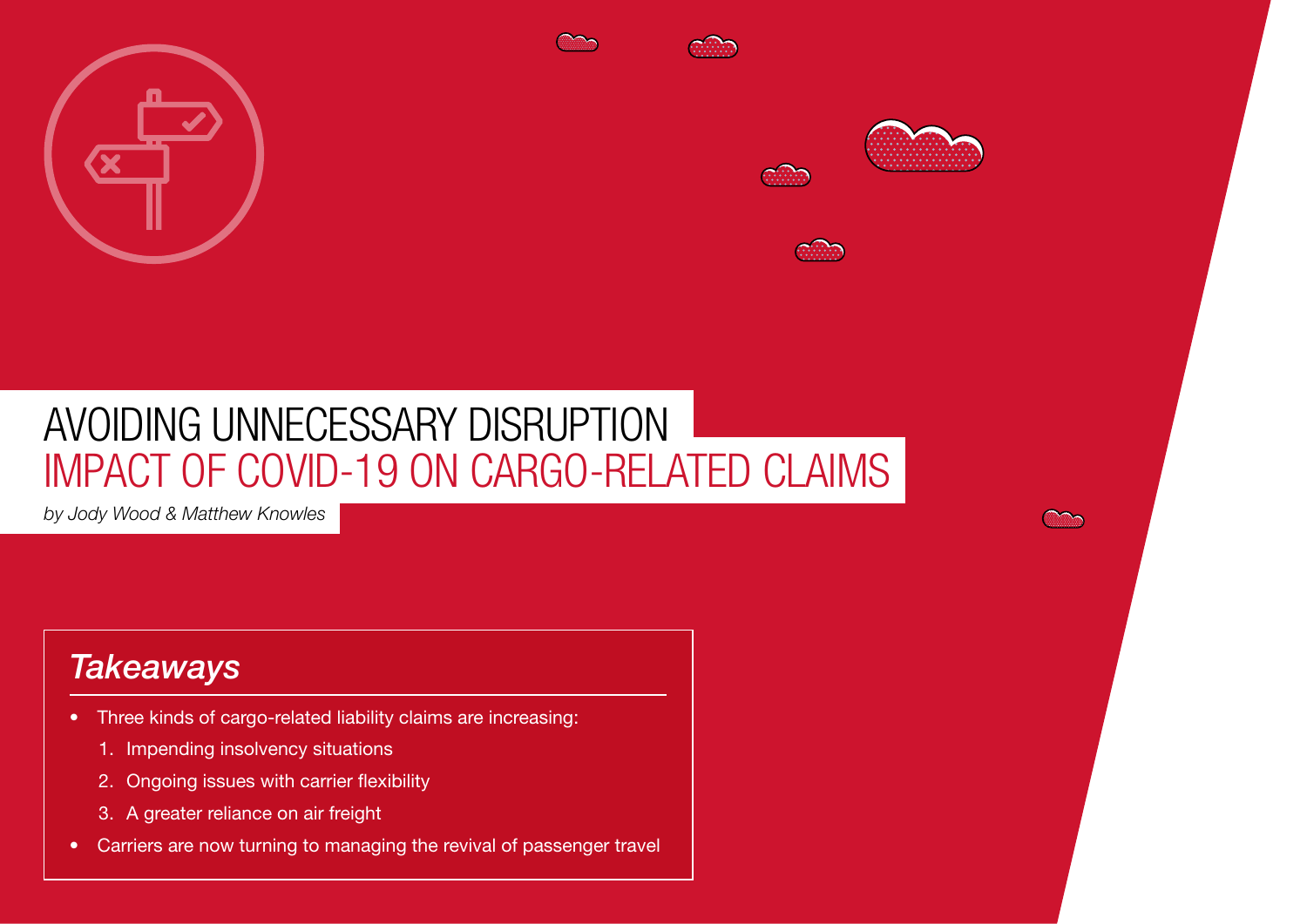







# AVOIDING UNNECESSARY DISRUPTION IMPACT OF COVID-19 ON CARGO-RELATED CLAIMS

*by Jody Wood & Matthew Knowles*

## *Takeaways*

- Three kinds of cargo-related liability claims are increasing:
	- 1. Impending insolvency situations
	- 2. Ongoing issues with carrier flexibility
	- 3. A greater reliance on air freight

68 Reed Smith | Global air freight's future - The sky is the limit

• Carriers are now turning to managing the revival of passenger travel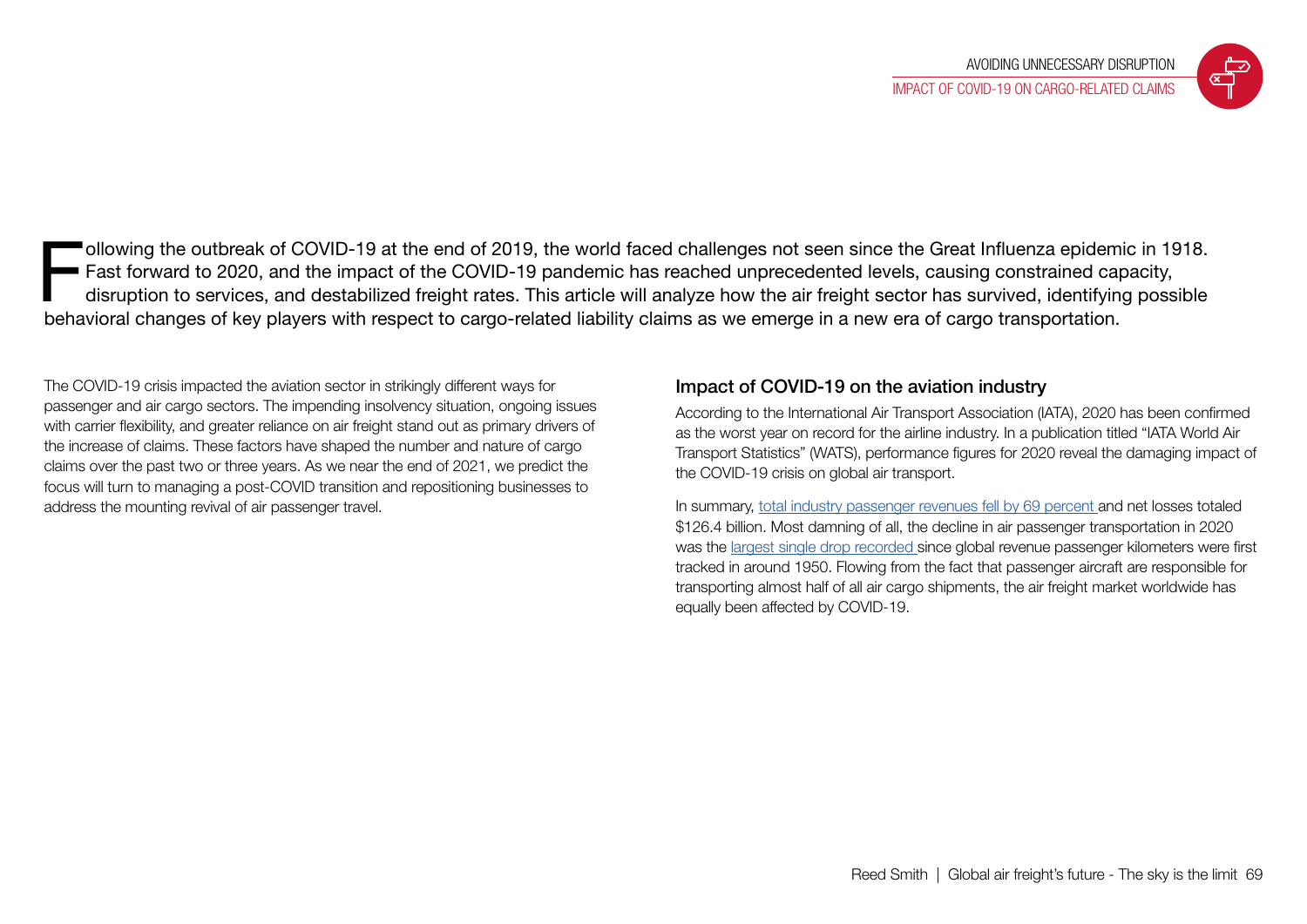

Inches of the same of COVID-19 at the end of 2019, the world faced challenges not seen since the Great Influenza epidemic in 1918.<br>
Fast forward to 2020, and the impact of the COVID-19 pandemic has reached unprecedented le Fast forward to 2020, and the impact of the COVID-19 pandemic has reached unprecedented levels, causing constrained capacity, behavioral changes of key players with respect to cargo-related liability claims as we emerge in a new era of cargo transportation.

The COVID-19 crisis impacted the aviation sector in strikingly different ways for passenger and air cargo sectors. The impending insolvency situation, ongoing issues with carrier flexibility, and greater reliance on air freight stand out as primary drivers of the increase of claims. These factors have shaped the number and nature of cargo claims over the past two or three years. As we near the end of 2021, we predict the focus will turn to managing a post-COVID transition and repositioning businesses to address the mounting revival of air passenger travel.

### Impact of COVID-19 on the aviation industry

According to the International Air Transport Association (IATA), 2020 has been confirmed as the worst year on record for the airline industry. In a publication titled "IATA World Air Transport Statistics" (WATS), performance figures for 2020 reveal the damaging impact of the COVID-19 crisis on global air transport.

In summary, [total industry passenger revenues fell by 69 percent](https://www.iata.org/en/pressroom/pr/2021-08-03-01/) and net losses totaled \$126.4 billion. Most damning of all, the decline in air passenger transportation in 2020 was the [largest single drop recorded s](https://www.iata.org/en/pressroom/pr/2021-08-03-01/)ince global revenue passenger kilometers were first tracked in around 1950. Flowing from the fact that passenger aircraft are responsible for transporting almost half of all air cargo shipments, the air freight market worldwide has equally been affected by COVID-19.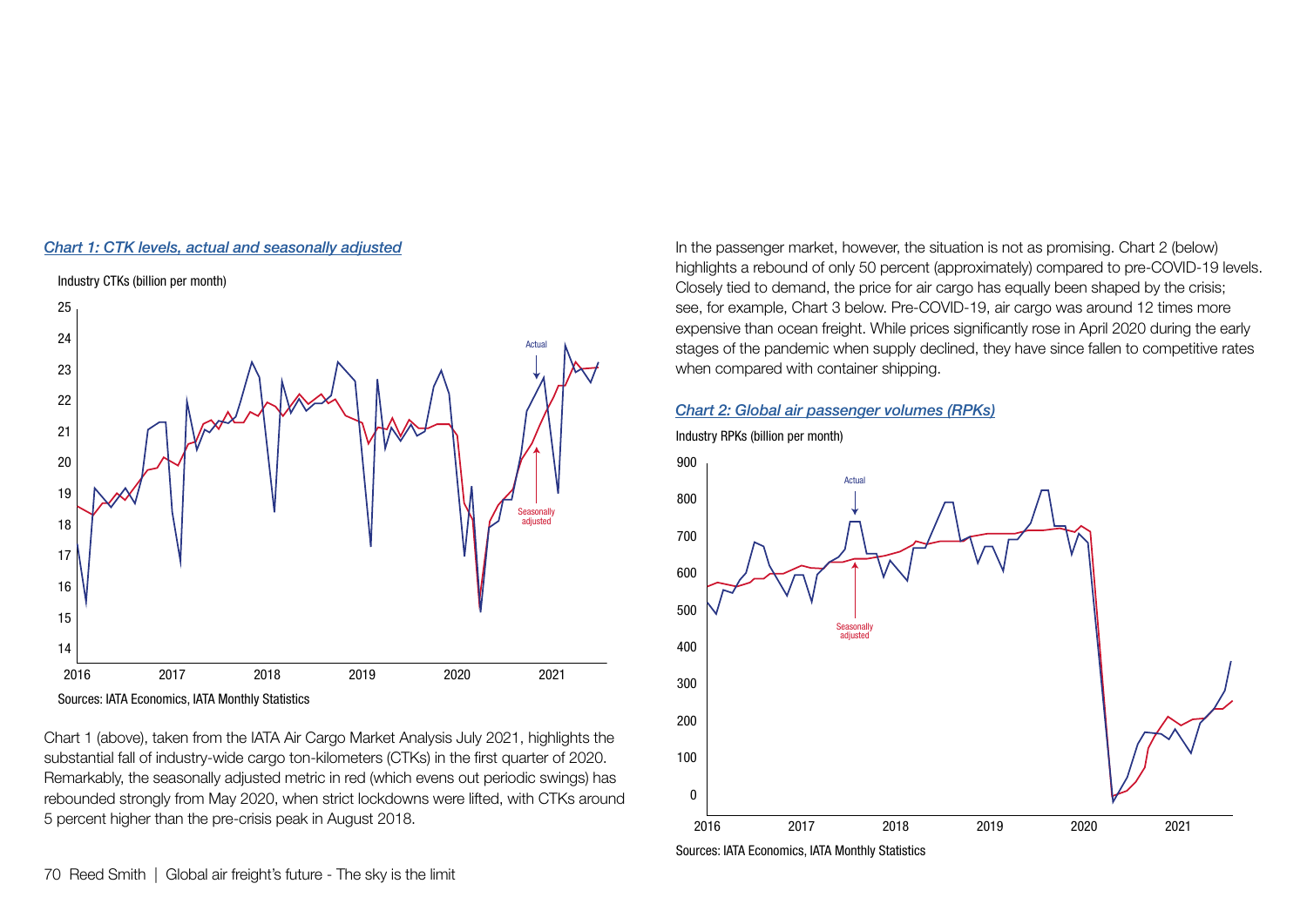#### *[Chart 1: CTK levels, actual and seasonally adjusted](https://www.iata.org/en/iata-repository/publications/economic-reports/air-freight-monthly-analysis---july-2021/)*



Chart 1 (above), taken from the IATA Air Cargo Market Analysis July 2021, highlights the substantial fall of industry-wide cargo ton-kilometers (CTKs) in the first quarter of 2020. Remarkably, the seasonally adjusted metric in red (which evens out periodic swings) has rebounded strongly from May 2020, when strict lockdowns were lifted, with CTKs around 5 percent higher than the pre-crisis peak in August 2018.

In the passenger market, however, the situation is not as promising. Chart 2 (below) highlights a rebound of only 50 percent (approximately) compared to pre-COVID-19 levels. Closely tied to demand, the price for air cargo has equally been shaped by the crisis; see, for example, Chart 3 below. Pre-COVID-19, air cargo was around 12 times more expensive than ocean freight. While prices significantly rose in April 2020 during the early stages of the pandemic when supply declined, they have since fallen to competitive rates when compared with container shipping.

#### *[Chart 2: Global air passenger volumes \(RPKs\)](https://www.iata.org/en/iata-repository/publications/economic-reports/air-passenger-monthly-analysis---july-2021/)*

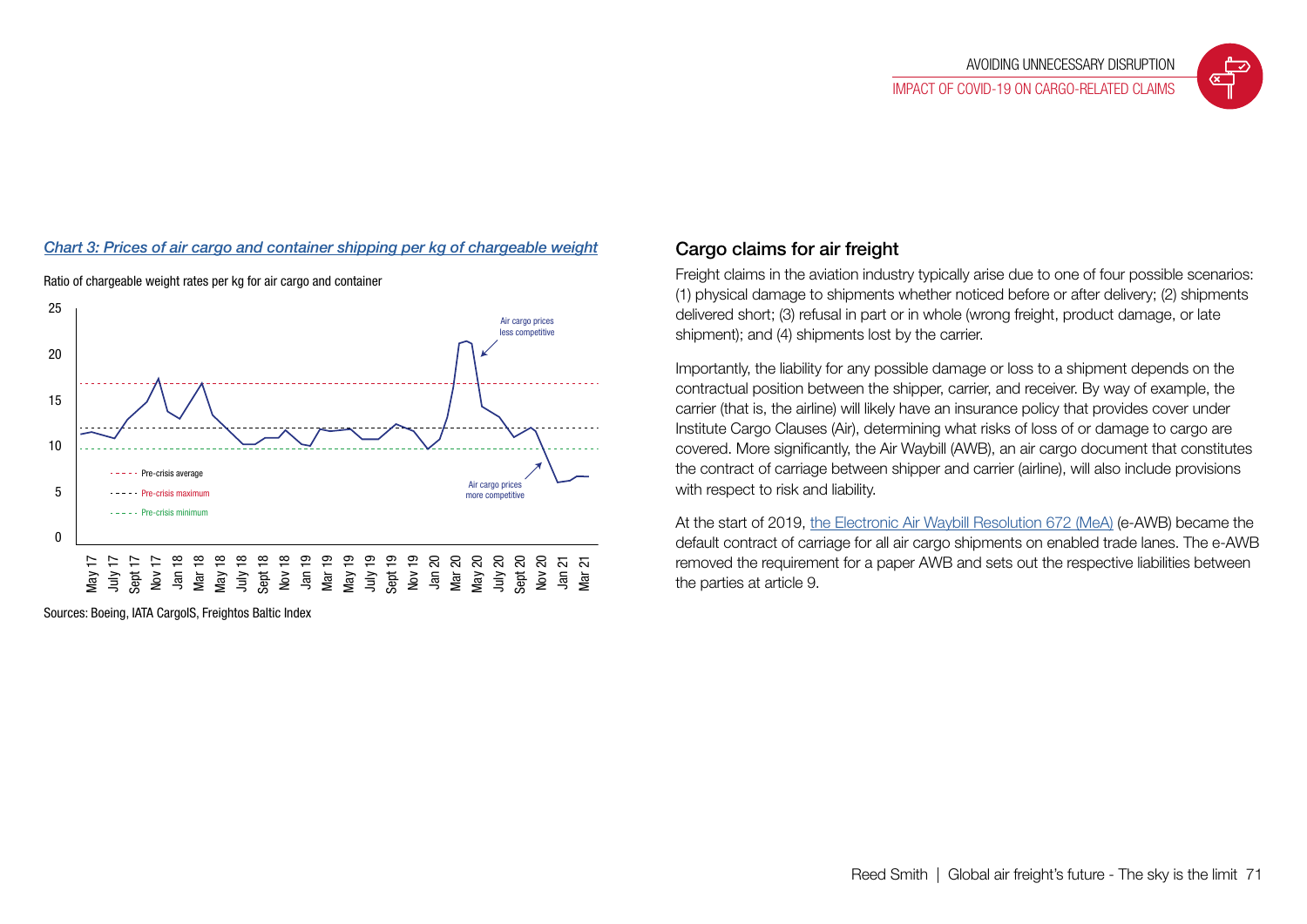### *[Chart 3: Prices of air cargo and container shipping per kg of chargeable weight](https://www.iata.org/en/iata-repository/publications/economic-reports/air-freight-monthly-analysis---april-2021/)* Cargo claims for air freight



Ratio of chargeable weight rates per kg for air cargo and container

Sources: Boeing, IATA CargoIS, Freightos Baltic Index

Freight claims in the aviation industry typically arise due to one of four possible scenarios: (1) physical damage to shipments whether noticed before or after delivery; (2) shipments delivered short; (3) refusal in part or in whole (wrong freight, product damage, or late shipment); and (4) shipments lost by the carrier.

Importantly, the liability for any possible damage or loss to a shipment depends on the contractual position between the shipper, carrier, and receiver. By way of example, the carrier (that is, the airline) will likely have an insurance policy that provides cover under Institute Cargo Clauses (Air), determining what risks of loss of or damage to cargo are covered. More significantly, the Air Waybill (AWB), an air cargo document that constitutes the contract of carriage between shipper and carrier (airline), will also include provisions with respect to risk and liability.

At the start of 2019, [the Electronic Air Waybill Resolution 672 \(MeA\)](https://www.iata.org/contentassets/783ac75f30d74e32a8eaef26af5696b6/csc-672-en-28dec2019.pdf) (e-AWB) became the default contract of carriage for all air cargo shipments on enabled trade lanes. The e-AWB removed the requirement for a paper AWB and sets out the respective liabilities between the parties at article 9.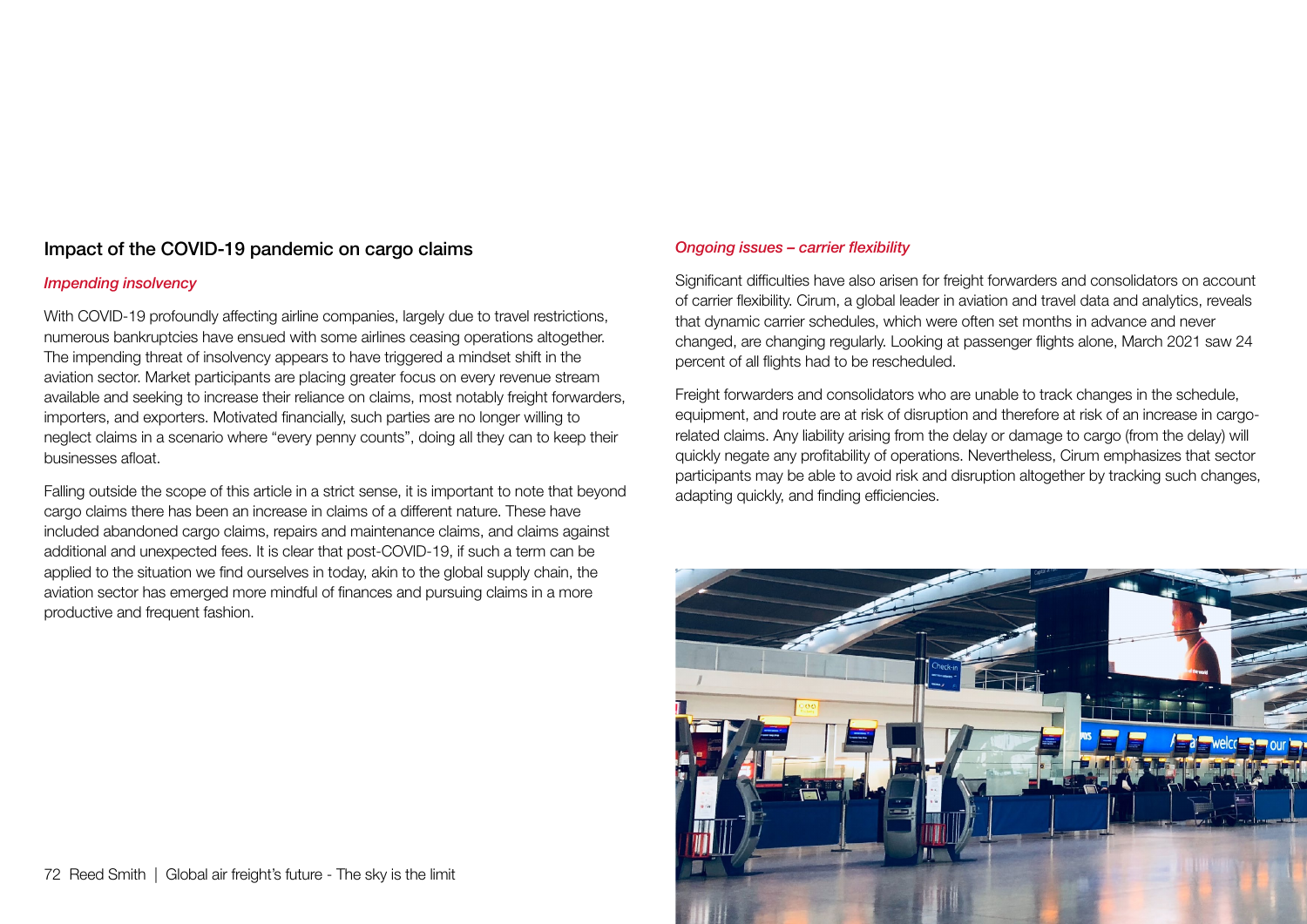### Impact of the COVID-19 pandemic on cargo claims

#### *Impending insolvency*

With COVID-19 profoundly affecting airline companies, largely due to travel restrictions, numerous bankruptcies have ensued with some airlines ceasing operations altogether. The impending threat of insolvency appears to have triggered a mindset shift in the aviation sector. Market participants are placing greater focus on every revenue stream available and seeking to increase their reliance on claims, most notably freight forwarders, importers, and exporters. Motivated financially, such parties are no longer willing to neglect claims in a scenario where "every penny counts", doing all they can to keep their businesses afloat.

Falling outside the scope of this article in a strict sense, it is important to note that beyond cargo claims there has been an increase in claims of a different nature. These have included abandoned cargo claims, repairs and maintenance claims, and claims against additional and unexpected fees. It is clear that post-COVID-19, if such a term can be applied to the situation we find ourselves in today, akin to the global supply chain, the aviation sector has emerged more mindful of finances and pursuing claims in a more productive and frequent fashion.

#### *Ongoing issues – carrier flexibility*

Significant difficulties have also arisen for freight forwarders and consolidators on account of carrier flexibility. Cirum, a global leader in aviation and travel data and analytics, reveals that dynamic carrier schedules, which were often set months in advance and never changed, are changing regularly. Looking at passenger flights alone, March 2021 saw 24 percent of all flights had to be rescheduled.

Freight forwarders and consolidators who are unable to track changes in the schedule, equipment, and route are at risk of disruption and therefore at risk of an increase in cargorelated claims. Any liability arising from the delay or damage to cargo (from the delay) will quickly negate any profitability of operations. Nevertheless, Cirum emphasizes that sector participants may be able to avoid risk and disruption altogether by tracking such changes, adapting quickly, and finding efficiencies.

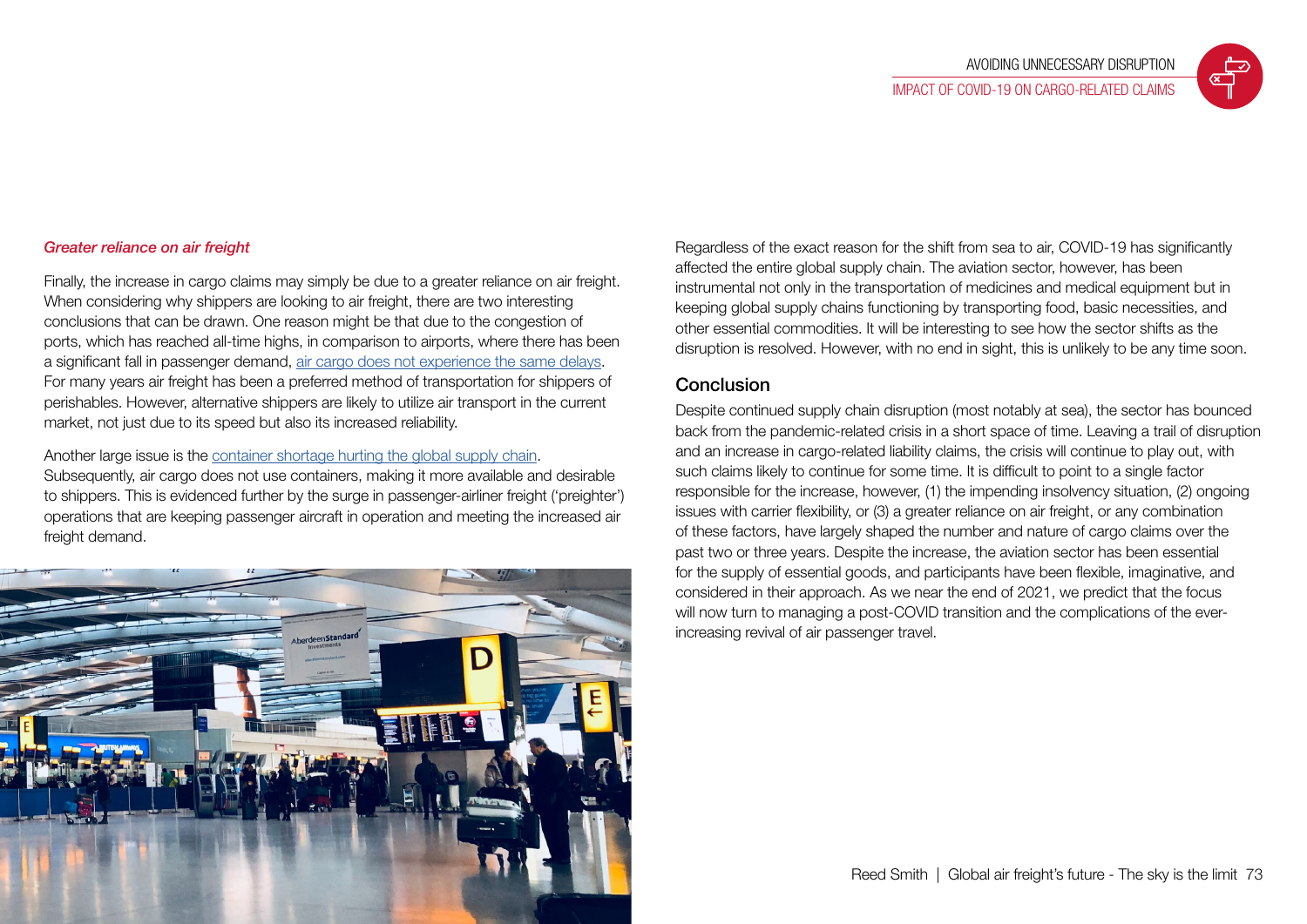#### *Greater reliance on air freight*

Finally, the increase in cargo claims may simply be due to a greater reliance on air freight. When considering why shippers are looking to air freight, there are two interesting conclusions that can be drawn. One reason might be that due to the congestion of ports, which has reached all-time highs, in comparison to airports, where there has been a significant fall in passenger demand, [air cargo does not experience the same delays](https://sustainableworldports.org/16th-iaph-covid19-economic-impact-barometer-cargo-flows-impacting-hinterland-transport/). For many years air freight has been a preferred method of transportation for shippers of perishables. However, alternative shippers are likely to utilize air transport in the current market, not just due to its speed but also its increased reliability.

#### Another large issue is the [container shortage hurting the global supply chain.](https://www.forbes.com/sites/garthfriesen/2021/09/03/no-end-in-sight-for-the-covid-led-global-supply-chain-disruption/)

Subsequently, air cargo does not use containers, making it more available and desirable to shippers. This is evidenced further by the surge in passenger-airliner freight ('preighter') operations that are keeping passenger aircraft in operation and meeting the increased air freight demand.



Regardless of the exact reason for the shift from sea to air, COVID-19 has significantly affected the entire global supply chain. The aviation sector, however, has been instrumental not only in the transportation of medicines and medical equipment but in keeping global supply chains functioning by transporting food, basic necessities, and other essential commodities. It will be interesting to see how the sector shifts as the disruption is resolved. However, with no end in sight, this is unlikely to be any time soon.

#### Conclusion

Despite continued supply chain disruption (most notably at sea), the sector has bounced back from the pandemic-related crisis in a short space of time. Leaving a trail of disruption and an increase in cargo-related liability claims, the crisis will continue to play out, with such claims likely to continue for some time. It is difficult to point to a single factor responsible for the increase, however, (1) the impending insolvency situation, (2) ongoing issues with carrier flexibility, or (3) a greater reliance on air freight, or any combination of these factors, have largely shaped the number and nature of cargo claims over the past two or three years. Despite the increase, the aviation sector has been essential for the supply of essential goods, and participants have been flexible, imaginative, and considered in their approach. As we near the end of 2021, we predict that the focus will now turn to managing a post-COVID transition and the complications of the everincreasing revival of air passenger travel.